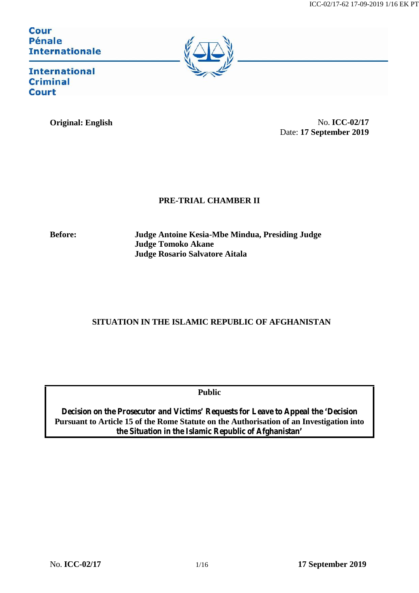Cour Pénale<br>Internationale



**International Criminal Court** 

**Original: English** No. **ICC-02/17** Date: **17 September 2019**

## **PRE-TRIAL CHAMBER II**

**Before: Judge Antoine Kesia-Mbe Mindua, Presiding Judge Judge Tomoko Akane Judge Rosario Salvatore Aitala**

# **SITUATION IN THE ISLAMIC REPUBLIC OF AFGHANISTAN**

**Public**

**Decision on the Prosecutor and Victims' Requests for Leave to Appeal the 'Decision Pursuant to Article 15 of the Rome Statute on the Authorisation of an Investigation into the Situation in the Islamic Republic of Afghanistan'**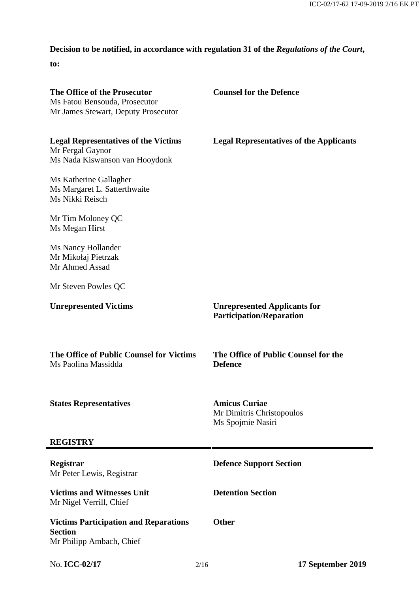# **Decision to be notified, in accordance with regulation 31 of the** *Regulations of the Court***,**

**to:**

| The Office of the Prosecutor<br>Ms Fatou Bensouda, Prosecutor<br>Mr James Stewart, Deputy Prosecutor |      | <b>Counsel for the Defence</b>                                         |
|------------------------------------------------------------------------------------------------------|------|------------------------------------------------------------------------|
| <b>Legal Representatives of the Victims</b><br>Mr Fergal Gaynor<br>Ms Nada Kiswanson van Hooydonk    |      | <b>Legal Representatives of the Applicants</b>                         |
| Ms Katherine Gallagher<br>Ms Margaret L. Satterthwaite<br>Ms Nikki Reisch                            |      |                                                                        |
| Mr Tim Moloney QC<br>Ms Megan Hirst                                                                  |      |                                                                        |
| Ms Nancy Hollander<br>Mr Mikołaj Pietrzak<br>Mr Ahmed Assad                                          |      |                                                                        |
| Mr Steven Powles QC                                                                                  |      |                                                                        |
| <b>Unrepresented Victims</b>                                                                         |      | <b>Unrepresented Applicants for</b><br><b>Participation/Reparation</b> |
| The Office of Public Counsel for Victims<br>Ms Paolina Massidda                                      |      | The Office of Public Counsel for the<br><b>Defence</b>                 |
| <b>States Representatives</b>                                                                        |      | <b>Amicus Curiae</b><br>Mr Dimitris Christopoulos<br>Ms Spojmie Nasiri |
| <b>REGISTRY</b>                                                                                      |      |                                                                        |
| Registrar<br>Mr Peter Lewis, Registrar                                                               |      | <b>Defence Support Section</b>                                         |
| <b>Victims and Witnesses Unit</b><br>Mr Nigel Verrill, Chief                                         |      | <b>Detention Section</b>                                               |
| <b>Victims Participation and Reparations</b><br><b>Section</b><br>Mr Philipp Ambach, Chief           |      | <b>Other</b>                                                           |
| No. ICC-02/17                                                                                        | 2/16 | 17 September 2019                                                      |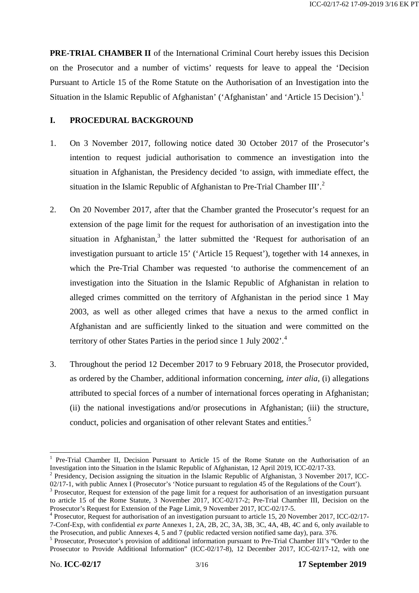**PRE-TRIAL CHAMBER II** of the International Criminal Court hereby issues this Decision on the Prosecutor and a number of victims' requests for leave to appeal the 'Decision Pursuant to Article 15 of the Rome Statute on the Authorisation of an Investigation into the Situation in the Islamic Republic of Afghanistan' ('Afghanistan' and 'Article 15 Decision').<sup>1</sup>

## **I. PROCEDURAL BACKGROUND**

- 1. On 3 November 2017, following notice dated 30 October 2017 of the Prosecutor's intention to request judicial authorisation to commence an investigation into the situation in Afghanistan, the Presidency decided 'to assign, with immediate effect, the situation in the Islamic Republic of Afghanistan to Pre-Trial Chamber III'.<sup>2</sup>
- 2. On 20 November 2017, after that the Chamber granted the Prosecutor's request for an extension of the page limit for the request for authorisation of an investigation into the situation in Afghanistan, $3$  the latter submitted the 'Request for authorisation of an investigation pursuant to article 15' ('Article 15 Request'), together with 14 annexes, in which the Pre-Trial Chamber was requested 'to authorise the commencement of an investigation into the Situation in the Islamic Republic of Afghanistan in relation to alleged crimes committed on the territory of Afghanistan in the period since 1 May 2003, as well as other alleged crimes that have a nexus to the armed conflict in Afghanistan and are sufficiently linked to the situation and were committed on the territory of other States Parties in the period since 1 July 2002'.<sup>4</sup>
- 3. Throughout the period 12 December 2017 to 9 February 2018, the Prosecutor provided, as ordered by the Chamber, additional information concerning, *inter alia*, (i) allegations attributed to special forces of a number of international forces operating in Afghanistan; (ii) the national investigations and/or prosecutions in Afghanistan; (iii) the structure, conduct, policies and organisation of other relevant States and entities.<sup>5</sup>

<sup>&</sup>lt;sup>1</sup> Pre-Trial Chamber II, Decision Pursuant to Article 15 of the Rome Statute on the Authorisation of an Investigation into the Situation in the Islamic Republic of Afghanistan, 12 April 2019, ICC-02/17-33.

<sup>&</sup>lt;sup>2</sup> Presidency, Decision assigning the situation in the Islamic Republic of Afghanistan, 3 November 2017, ICC-02/17-1, with public Annex I (Prosecutor's 'Notice pursuant to regulation 45 of the Regulations of the Court').

<sup>&</sup>lt;sup>3</sup> Prosecutor, Request for extension of the page limit for a request for authorisation of an investigation pursuant to article 15 of the Rome Statute, 3 November 2017, ICC-02/17-2; Pre-Trial Chamber III, Decision on the Prosecutor's Request for Extension of the Page Limit, 9 November 2017, ICC-02/17-5.

 $4$  Prosecutor, Request for authorisation of an investigation pursuant to article 15, 20 November 2017, ICC-02/17-7-Conf-Exp, with confidential *ex parte* Annexes 1, 2A, 2B, 2C, 3A, 3B, 3C, 4A, 4B, 4C and 6, only available to

 $5$  Prosecutor, Prosecutor's provision of additional information pursuant to Pre-Trial Chamber III's "Order to the Prosecutor to Provide Additional Information" (ICC-02/17-8), 12 December 2017, ICC-02/17-12, with one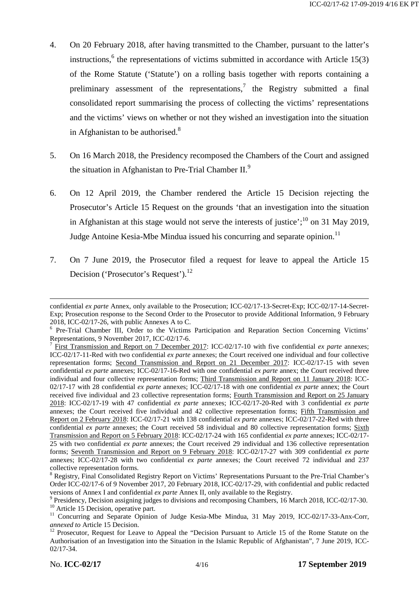- 4. On 20 February 2018, after having transmitted to the Chamber, pursuant to the latter's instructions,<sup>6</sup> the representations of victims submitted in accordance with Article 15(3) of the Rome Statute ('Statute') on a rolling basis together with reports containing a preliminary assessment of the representations,<sup>7</sup> the Registry submitted a final consolidated report summarising the process of collecting the victims' representations and the victims' views on whether or not they wished an investigation into the situation in Afghanistan to be authorised. $8$
- 5. On 16 March 2018, the Presidency recomposed the Chambers of the Court and assigned the situation in Afghanistan to Pre-Trial Chamber II. $<sup>9</sup>$ </sup>
- 6. On 12 April 2019, the Chamber rendered the Article 15 Decision rejecting the Prosecutor's Article 15 Request on the grounds 'that an investigation into the situation in Afghanistan at this stage would not serve the interests of justice';  $^{10}$  on 31 May 2019, Judge Antoine Kesia-Mbe Mindua issued his concurring and separate opinion.<sup>11</sup>
- 7. On 7 June 2019, the Prosecutor filed a request for leave to appeal the Article 15 Decision ('Prosecutor's Request').<sup>12</sup>

confidential *ex parte* Annex, only available to the Prosecution; ICC-02/17-13-Secret-Exp; ICC-02/17-14-Secret- Exp; Prosecution response to the Second Order to the Prosecutor to provide Additional Information, 9 February

<sup>2018,</sup> ICC-02/17-26, with public Annexes A to C.<br>
<sup>6</sup> Pre-Trial Chamber III, Order to the Victims Participation and Reparation Section Concerning Victims' Representations. 9 November 2017. ICC-02/17-6.

<sup>&</sup>lt;sup>7</sup> First Transmission and Report on 7 December 2017: ICC-02/17-10 with five confidential *ex parte* annexes; ICC-02/17-11-Red with two confidential *ex parte* annexes; the Court received one individual and four collective representation forms; Second Transmission and Report on 21 December 2017: ICC-02/17-15 with seven confidential *ex parte* annexes; ICC-02/17-16-Red with one confidential *ex parte* annex; the Court received three individual and four collective representation forms; Third Transmission and Report on 11 January 2018: ICC- 02/17-17 with 28 confidential *ex parte* annexes; ICC-02/17-18 with one confidential *ex parte* annex; the Court received five individual and 23 collective representation forms; Fourth Transmission and Report on 25 January 2018: ICC-02/17-19 with 47 confidential *ex parte* annexes; ICC-02/17-20-Red with 3 confidential *ex parte* annexes; the Court received five individual and 42 collective representation forms; Fifth Transmission and Report on 2 February 2018: ICC-02/17-21 with 138 confidential *ex parte* annexes; ICC-02/17-22-Red with three confidential *ex parte* annexes; the Court received 58 individual and 80 collective representation forms; Sixth Transmission and Report on 5 February 2018: ICC-02/17-24 with 165 confidential *ex parte* annexes; ICC-02/17- 25 with two confidential *ex parte* annexes; the Court received 29 individual and 136 collective representation forms; Seventh Transmission and Report on 9 February 2018: ICC-02/17-27 with 309 confidential *ex parte* annexes; ICC-02/17-28 with two confidential *ex parte* annexes; the Court received 72 individual and 237 collective representation forms.<br><sup>8</sup> Registry, Final Consolidated Registry Report on Victims' Representations Pursuant to the Pre-Trial Chamber's

Order ICC-02/17-6 of 9 November 2017, 20 February 2018, ICC-02/17-29, with confidential and public redacted

versions of Annex I and confidential *ex parte* Annex II, only available to the Registry.<br><sup>9</sup> Presidency, Decision assigning judges to divisions and recomposing Chambers, 16 March 2018, ICC-02/17-30.<br><sup>10</sup> Article 15 Decis

<sup>&</sup>lt;sup>12</sup> Prosecutor, Request for Leave to Appeal the "Decision Pursuant to Article 15 of the Rome Statute on the Authorisation of an Investigation into the Situation in the Islamic Republic of Afghanistan", 7 June 2019, ICC- 02/17-34.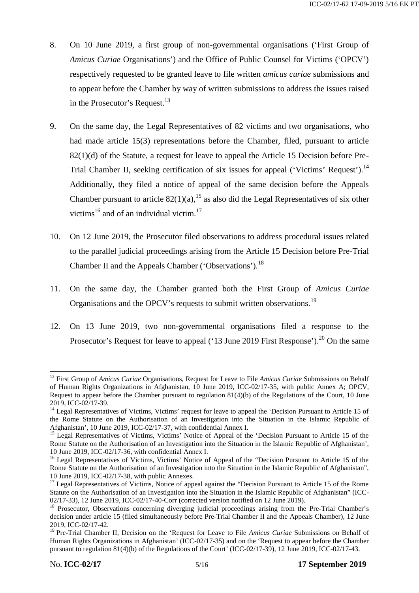- 8. On 10 June 2019, a first group of non-governmental organisations ('First Group of *Amicus Curiae* Organisations') and the Office of Public Counsel for Victims ('OPCV') respectively requested to be granted leave to file written *amicus curiae* submissions and to appear before the Chamber by way of written submissions to address the issues raised in the Prosecutor's Request.<sup>13</sup>
- 9. On the same day, the Legal Representatives of 82 victims and two organisations, who had made article 15(3) representations before the Chamber, filed, pursuant to article 82(1)(d) of the Statute, a request for leave to appeal the Article 15 Decision before Pre- Trial Chamber II, seeking certification of six issues for appeal ('Victims' Request').<sup>14</sup> Additionally, they filed a notice of appeal of the same decision before the Appeals Chamber pursuant to article  $82(1)(a)$ ,<sup>15</sup> as also did the Legal Representatives of six other victims<sup>16</sup> and of an individual victim.<sup>17</sup>
- 10. On 12 June 2019, the Prosecutor filed observations to address procedural issues related to the parallel judicial proceedings arising from the Article 15 Decision before Pre-Trial Chamber II and the Appeals Chamber ('Observations').<sup>18</sup>
- 11. On the same day, the Chamber granted both the First Group of *Amicus Curiae* Organisations and the OPCV's requests to submit written observations.<sup>19</sup>
- 12. On 13 June 2019, two non-governmental organisations filed a response to the Prosecutor's Request for leave to appeal ('13 June 2019 First Response').<sup>20</sup> On the same

<sup>13</sup> First Group of *Amicus Curiae* Organisations, Request for Leave to File *Amicus Curiae* Submissions on Behalf of Human Rights Organizations in Afghanistan, 10 June 2019, ICC-02/17-35, with public Annex A; OPCV, Request to appear before the Chamber pursuant to regulation 81(4)(b) of the Regulations of the Court, 10 June

<sup>2019,</sup> ICC-02/17-39. <sup>14</sup> Legal Representatives of Victims, Victims' request for leave to appeal the 'Decision Pursuant to Article 15 of the Rome Statute on the Authorisation of an Investigation into the Situation in the Islamic Republic of Afghanistan', 10 June 2019, ICC-02/17-37, with confidential Annex I.<br><sup>15</sup> Legal Representatives of Victims, Victims' Notice of Appeal of the 'Decision Pursuant to Article 15 of the

Rome Statute on the Authorisation of an Investigation into the Situation in the Islamic Republic of Afghanistan', 10 June 2019, ICC-02/17-36, with confidential Annex I.

 $16$  Legal Representatives of Victims, Victims' Notice of Appeal of the "Decision Pursuant to Article 15 of the Rome Statute on the Authorisation of an Investigation into the Situation in the Islamic Republic of Afghanistan", 10 June 2019, ICC-02/17-38, with public Annexes. <sup>17</sup> Legal Representatives of Victims, Notice of appeal against the "Decision Pursuant to Article 15 of the Rome

Statute on the Authorisation of an Investigation into the Situation in the Islamic Republic of Afghanistan" (ICC-

<sup>02/17-33), 12</sup> June 2019, ICC-02/17-40-Corr (corrected version notified on 12 June 2019).<br><sup>18</sup> Prosecutor, Observations concerning diverging judicial proceedings arising from the Pre-Trial Chamber's decision under article 15 (filed simultaneously before Pre-Trial Chamber II and the Appeals Chamber), 12 June 2019, ICC-02/17-42.

<sup>19</sup> Pre-Trial Chamber II, Decision on the 'Request for Leave to File *Amicus Curiae* Submissions on Behalf of Human Rights Organizations in Afghanistan' (ICC-02/17-35) and on the 'Request to appear before the Chamber pursuant to regulation 81(4)(b) of the Regulations of the Court' (ICC-02/17-39), 12 June 2019, ICC-02/17-43.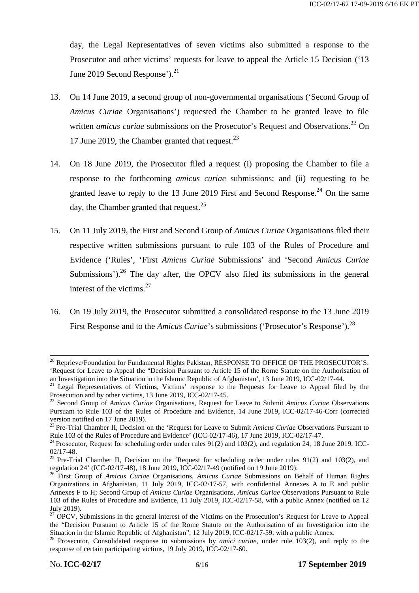day, the Legal Representatives of seven victims also submitted a response to the Prosecutor and other victims' requests for leave to appeal the Article 15 Decision ('13 June 2019 Second Response'). $^{21}$ 

- 13. On 14 June 2019, a second group of non-governmental organisations ('Second Group of *Amicus Curiae* Organisations') requested the Chamber to be granted leave to file written *amicus curiae* submissions on the Prosecutor's Request and Observations.<sup>22</sup> On 17 June 2019, the Chamber granted that request.  $23$
- 14. On 18 June 2019, the Prosecutor filed a request (i) proposing the Chamber to file a response to the forthcoming *amicus curiae* submissions; and (ii) requesting to be granted leave to reply to the 13 June 2019 First and Second Response.<sup>24</sup> On the same day, the Chamber granted that request.<sup>25</sup>
- 15. On 11 July 2019, the First and Second Group of *Amicus Curiae* Organisations filed their respective written submissions pursuant to rule 103 of the Rules of Procedure and Evidence ('Rules', 'First *Amicus Curiae* Submissions' and 'Second *Amicus Curiae* Submissions').<sup>26</sup> The day after, the OPCV also filed its submissions in the general interest of the victims. $27$
- 16. On 19 July 2019, the Prosecutor submitted a consolidated response to the 13 June 2019 First Response and to the *Amicus Curiae*'s submissions ('Prosecutor's Response').<sup>28</sup>

 $^{20}$  Reprieve/Foundation for Fundamental Rights Pakistan, RESPONSE TO OFFICE OF THE PROSECUTOR'S: 'Request for Leave to Appeal the "Decision Pursuant to Article 15 of the Rome Statute on the Authorisation of an Investigation into the Situation in the Islamic Republic of Afghanistan', 13 June 2019, ICC-02/17-44.

<sup>&</sup>lt;sup>21</sup> Legal Representatives of Victims, Victims' response to the Requests for Leave to Appeal filed by the Prosecution and by other victims, 13 June 2019, ICC-02/17-45.

<sup>&</sup>lt;sup>22</sup> Second Group of *Amicus Curiae* Organisations, Request for Leave to Submit *Amicus Curiae* Observations Pursuant to Rule 103 of the Rules of Procedure and Evidence, 14 June 2019, ICC-02/17-46-Corr (corrected version notified on 17 June 2019).

<sup>&</sup>lt;sup>23</sup> Pre-Trial Chamber II, Decision on the 'Request for Leave to Submit *Amicus Curiae* Observations Pursuant to Rule 103 of the Rules of Procedure and Evidence' (ICC-02/17-46), 17 June 2019, ICC-02/17-47.

<sup>&</sup>lt;sup>24</sup> Prosecutor, Request for scheduling order under rules 91(2) and 103(2), and regulation 24, 18 June 2019, ICC-

<sup>02/17-48.&</sup>lt;br><sup>25</sup> Pre-Trial Chamber II, Decision on the 'Request for scheduling order under rules 91(2) and 103(2), and regulation 24' (ICC-02/17-48), 18 June 2019, ICC-02/17-49 (notified on 19 June 2019).

<sup>&</sup>lt;sup>26</sup> First Group of *Amicus Curiae* Organisations, *Amicus Curiae* Submissions on Behalf of Human Rights Organizations in Afghanistan, 11 July 2019, ICC-02/17-57, with confidential Annexes A to E and public Annexes F to H; Second Group of *Amicus Curiae* Organisations, *Amicus Curiae* Observations Pursuant to Rule 103 of the Rules of Procedure and Evidence, 11 July 2019, ICC-02/17-58, with a public Annex (notified on 12

 $27$  OPCV, Submissions in the general interest of the Victims on the Prosecution's Request for Leave to Appeal the "Decision Pursuant to Article 15 of the Rome Statute on the Authorisation of an Investigation into the Situation in the Islamic Republic of Afghanistan", 12 July 2019, ICC-02/17-59, with a public Annex. <sup>28</sup> Prosecutor, Consolidated response to submissions by *amici curiae*, under rule 103(2), and reply to the

response of certain participating victims, 19 July 2019, ICC-02/17-60.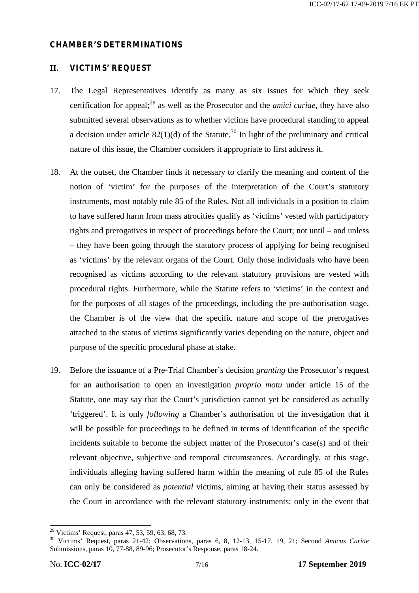#### **CHAMBER'S DETERMINATIONS**

### **II. VICTIMS' REQUEST**

- 17. The Legal Representatives identify as many as six issues for which they seek certification for appeal;<sup>29</sup> as well as the Prosecutor and the *amici curiae*, they have also submitted several observations as to whether victims have procedural standing to appeal a decision under article  $82(1)(d)$  of the Statute.<sup>30</sup> In light of the preliminary and critical nature of this issue, the Chamber considers it appropriate to first address it.
- 18. At the outset, the Chamber finds it necessary to clarify the meaning and content of the notion of 'victim' for the purposes of the interpretation of the Court's statutory instruments, most notably rule 85 of the Rules. Not all individuals in a position to claim to have suffered harm from mass atrocities qualify as 'victims' vested with participatory rights and prerogatives in respect of proceedings before the Court; not until – and unless – they have been going through the statutory process of applying for being recognised as 'victims' by the relevant organs of the Court. Only those individuals who have been recognised as victims according to the relevant statutory provisions are vested with procedural rights. Furthermore, while the Statute refers to 'victims' in the context and for the purposes of all stages of the proceedings, including the pre-authorisation stage, the Chamber is of the view that the specific nature and scope of the prerogatives attached to the status of victims significantly varies depending on the nature, object and purpose of the specific procedural phase at stake.
- 19. Before the issuance of a Pre-Trial Chamber's decision *granting* the Prosecutor's request for an authorisation to open an investigation *proprio motu* under article 15 of the Statute, one may say that the Court's jurisdiction cannot yet be considered as actually 'triggered'. It is only *following* a Chamber's authorisation of the investigation that it will be possible for proceedings to be defined in terms of identification of the specific incidents suitable to become the subject matter of the Prosecutor's case(s) and of their relevant objective, subjective and temporal circumstances. Accordingly, at this stage, individuals alleging having suffered harm within the meaning of rule 85 of the Rules can only be considered as *potential* victims, aiming at having their status assessed by the Court in accordance with the relevant statutory instruments; only in the event that

<sup>29</sup> Victims' Request, paras 47, 53, 59, 63, 68, 73. <sup>30</sup> Victims' Request, paras 21-42; Observations, paras 6, 8, 12-13, 15-17, 19, 21; Second *Amicus Curiae* Submissions, paras 10, 77-88, 89-96; Prosecutor's Response, paras 18-24.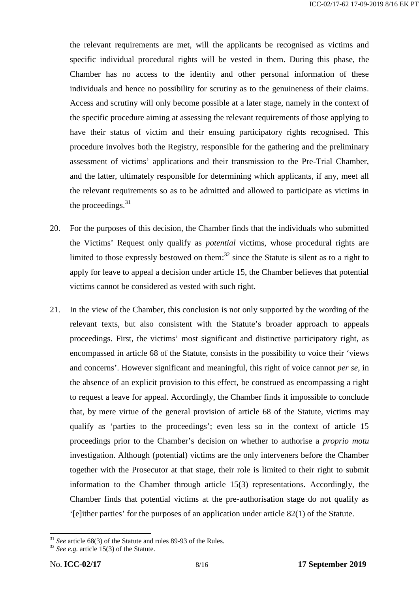the relevant requirements are met, will the applicants be recognised as victims and specific individual procedural rights will be vested in them. During this phase, the Chamber has no access to the identity and other personal information of these individuals and hence no possibility for scrutiny as to the genuineness of their claims. Access and scrutiny will only become possible at a later stage, namely in the context of the specific procedure aiming at assessing the relevant requirements of those applying to have their status of victim and their ensuing participatory rights recognised. This procedure involves both the Registry, responsible for the gathering and the preliminary assessment of victims' applications and their transmission to the Pre-Trial Chamber, and the latter, ultimately responsible for determining which applicants, if any, meet all the relevant requirements so as to be admitted and allowed to participate as victims in the proceedings. $31$ 

- 20. For the purposes of this decision, the Chamber finds that the individuals who submitted the Victims' Request only qualify as *potential* victims, whose procedural rights are limited to those expressly bestowed on them: $32 \text{ since the Statute is silent as to a right to }$ apply for leave to appeal a decision under article 15, the Chamber believes that potential victims cannot be considered as vested with such right.
- 21. In the view of the Chamber, this conclusion is not only supported by the wording of the relevant texts, but also consistent with the Statute's broader approach to appeals proceedings. First, the victims' most significant and distinctive participatory right, as encompassed in article 68 of the Statute, consists in the possibility to voice their 'views and concerns'. However significant and meaningful, this right of voice cannot *per se*, in the absence of an explicit provision to this effect, be construed as encompassing a right to request a leave for appeal. Accordingly, the Chamber finds it impossible to conclude that, by mere virtue of the general provision of article 68 of the Statute, victims may qualify as 'parties to the proceedings'; even less so in the context of article 15 proceedings prior to the Chamber's decision on whether to authorise a *proprio motu* investigation. Although (potential) victims are the only interveners before the Chamber together with the Prosecutor at that stage, their role is limited to their right to submit information to the Chamber through article 15(3) representations. Accordingly, the Chamber finds that potential victims at the pre-authorisation stage do not qualify as '[e]ither parties' for the purposes of an application under article 82(1) of the Statute.

<sup>&</sup>lt;sup>31</sup> *See* article 68(3) of the Statute and rules 89-93 of the Rules.<br><sup>32</sup> *See e.g.* article 15(3) of the Statute.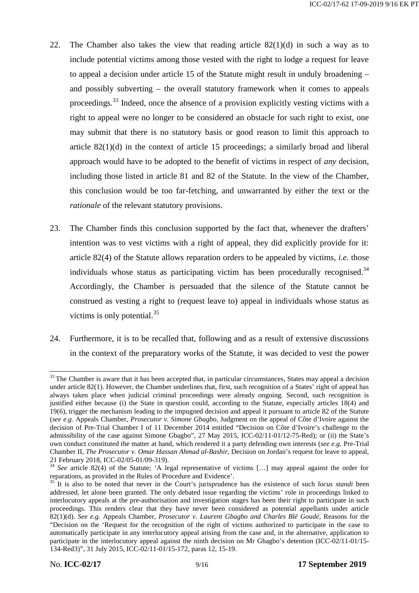- 22. The Chamber also takes the view that reading article 82(1)(d) in such a way as to include potential victims among those vested with the right to lodge a request for leave to appeal a decision under article 15 of the Statute might result in unduly broadening – and possibly subverting – the overall statutory framework when it comes to appeals proceedings.<sup>33</sup> Indeed, once the absence of a provision explicitly vesting victims with a right to appeal were no longer to be considered an obstacle for such right to exist, one may submit that there is no statutory basis or good reason to limit this approach to article 82(1)(d) in the context of article 15 proceedings; a similarly broad and liberal approach would have to be adopted to the benefit of victims in respect of *any* decision, including those listed in article 81 and 82 of the Statute. In the view of the Chamber, this conclusion would be too far-fetching, and unwarranted by either the text or the *rationale* of the relevant statutory provisions.
- 23. The Chamber finds this conclusion supported by the fact that, whenever the drafters' intention was to vest victims with a right of appeal, they did explicitly provide for it: article 82(4) of the Statute allows reparation orders to be appealed by victims, *i.e.* those individuals whose status as participating victim has been procedurally recognised. $34$ Accordingly, the Chamber is persuaded that the silence of the Statute cannot be construed as vesting a right to (request leave to) appeal in individuals whose status as victims is only potential. $35$
- 24. Furthermore, it is to be recalled that, following and as a result of extensive discussions in the context of the preparatory works of the Statute, it was decided to vest the power

<sup>&</sup>lt;sup>33</sup> The Chamber is aware that it has been accepted that, in particular circumstances, States may appeal a decision under article 82(1). However, the Chamber underlines that, first, such recognition of a States' right of appeal has always taken place when judicial criminal proceedings were already ongoing. Second, such recognition is justified either because (i) the State in question could, according to the Statute, especially articles 18(4) and 19(6), trigger the mechanism leading to the impugned decision and appeal it pursuant to article 82 of the Statute (*see e.g.* Appeals Chamber, *Prosecutor v. Simone Gbagbo*, Judgment on the appeal of Côte d'Ivoire against the decision of Pre-Trial Chamber I of 11 December 2014 entitled "Decision on Côte d'Ivoire's challenge to the admissibility of the case against Simone Gbagbo", 27 May 2015, ICC-02/11-01/12-75-Red); or (ii) the State's own conduct constituted the matter at hand, which rendered it a party defending own interests (*see e.g.* Pre-Trial Chamber II, *The Prosecutor v. Omar Hassan Ahmad al-Bashir*, Decision on Jordan's request for leave to appeal,

<sup>&</sup>lt;sup>34</sup> See article 82(4) of the Statute; 'A legal representative of victims [...] may appeal against the order for reparations, as provided in the Rules of Procedure and Evidence'.

 $\frac{35}{11}$  It is also to be noted that never in the Court's jurisprudence has the existence of such *locus standi* been addressed, let alone been granted. The only debated issue regarding the victims' role in proceedings linked to interlocutory appeals at the pre-authorisation and investigation stages has been their right to participate in such proceedings. This renders clear that they have never been considered as potential appellants under article 82(1)(d). *See e.g.* Appeals Chamber, *Prosecutor v. Laurent Gbagbo and Charles Blé Goudé*, Reasons for the "Decision on the 'Request for the recognition of the right of victims authorized to participate in the case to automatically participate in any interlocutory appeal arising from the case and, in the alternative, application to participate in the interlocutory appeal against the ninth decision on Mr Gbagbo's detention (ICC-02/11-01/15- 134-Red3)", 31 July 2015, ICC-02/11-01/15-172, paras 12, 15-19.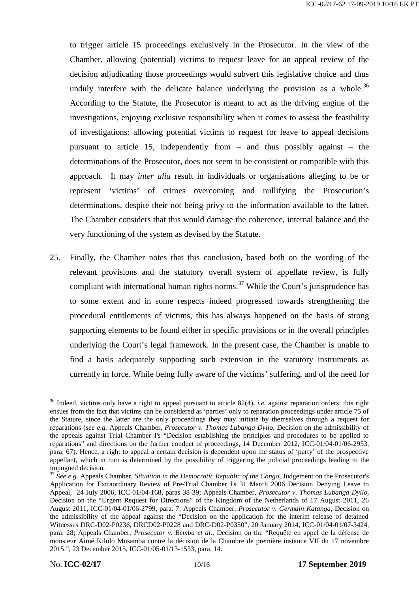to trigger article 15 proceedings exclusively in the Prosecutor. In the view of the Chamber, allowing (potential) victims to request leave for an appeal review of the decision adjudicating those proceedings would subvert this legislative choice and thus unduly interfere with the delicate balance underlying the provision as a whole.<sup>36</sup> According to the Statute, the Prosecutor is meant to act as the driving engine of the investigations, enjoying exclusive responsibility when it comes to assess the feasibility of investigations: allowing potential victims to request for leave to appeal decisions pursuant to article 15, independently from – and thus possibly against – the determinations of the Prosecutor, does not seem to be consistent or compatible with this approach. It may *inter alia* result in individuals or organisations alleging to be or represent 'victims' of crimes overcoming and nullifying the Prosecution's determinations, despite their not being privy to the information available to the latter. The Chamber considers that this would damage the coherence, internal balance and the very functioning of the system as devised by the Statute.

25. Finally, the Chamber notes that this conclusion, based both on the wording of the relevant provisions and the statutory overall system of appellate review, is fully compliant with international human rights norms.<sup>37</sup> While the Court's jurisprudence has to some extent and in some respects indeed progressed towards strengthening the procedural entitlements of victims, this has always happened on the basis of strong supporting elements to be found either in specific provisions or in the overall principles underlying the Court's legal framework. In the present case, the Chamber is unable to find a basis adequately supporting such extension in the statutory instruments as currently in force. While being fully aware of the victims' suffering, and of the need for

<sup>&</sup>lt;sup>36</sup> Indeed, victims only have a right to appeal pursuant to article 82(4), *i.e.* against reparation orders: this right ensues from the fact that victims can be considered as 'parties' only to reparation proceedings under article 75 of the Statute, since the latter are the only proceedings they may initiate by themselves through a request for reparations (*see e.g.* Appeals Chamber, *Prosecutor v. Thomas Lubanga Dyilo*, Decision on the admissibility of the appeals against Trial Chamber I's "Decision establishing the principles and procedures to be applied to reparations" and directions on the further conduct of proceedings, 14 December 2012, ICC-01/04-01/06-2953, para. 67). Hence, a right to appeal a certain decision is dependent upon the status of 'party' of the prospective appellant, which in turn is determined by the possibility of triggering the judicial proceedings leading to the

impugned decision. <sup>37</sup> *See e.g.* Appeals Chamber, *Situation in the Democratic Republic of the Congo*, Judgement on the Prosecutor's Application for Extraordinary Review of Pre-Trial Chamber I's 31 March 2006 Decision Denying Leave to Appeal, 24 July 2006, ICC-01/04-168, paras 38-39; Appeals Chamber, *Prosecutor v. Thomas Lubanga Dyilo*, Decision on the "Urgent Request for Directions" of the Kingdom of the Netherlands of 17 August 2011, 26 August 2011, ICC-01/04-01/06-2799, para. 7; Appeals Chamber, *Prosecutor v. Germain Katanga*, Decision on the admissibility of the appeal against the "Decision on the application for the interim release of detained Witnesses DRC-D02-P0236, DRCD02-P0228 and DRC-D02-P0350", 20 January 2014, ICC-01/04-01/07-3424, para. 28; Appeals Chamber, *Prosecutor v. Bemba et al.*, Decision on the "Requête en appel de la défense de monsieur Aimé Kilolo Musamba contre la décision de la Chambre de première instance VII du 17 novembre 2015.", 23 December 2015, ICC-01/05-01/13-1533, para. 14.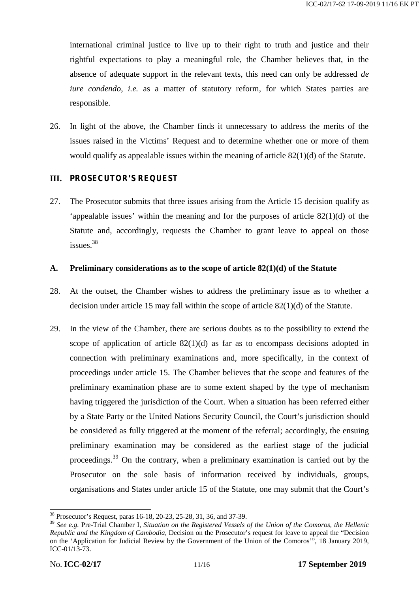international criminal justice to live up to their right to truth and justice and their rightful expectations to play a meaningful role, the Chamber believes that, in the absence of adequate support in the relevant texts, this need can only be addressed *de iure condendo*, *i.e.* as a matter of statutory reform, for which States parties are responsible.

26. In light of the above, the Chamber finds it unnecessary to address the merits of the issues raised in the Victims' Request and to determine whether one or more of them would qualify as appealable issues within the meaning of article 82(1)(d) of the Statute.

## **III. PROSECUTOR'S REQUEST**

27. The Prosecutor submits that three issues arising from the Article 15 decision qualify as 'appealable issues' within the meaning and for the purposes of article 82(1)(d) of the Statute and, accordingly, requests the Chamber to grant leave to appeal on those  $is sues.$ <sup>38</sup>

## **A. Preliminary considerations as to the scope of article 82(1)(d) of the Statute**

- 28. At the outset, the Chamber wishes to address the preliminary issue as to whether a decision under article 15 may fall within the scope of article 82(1)(d) of the Statute.
- 29. In the view of the Chamber, there are serious doubts as to the possibility to extend the scope of application of article  $82(1)(d)$  as far as to encompass decisions adopted in connection with preliminary examinations and, more specifically, in the context of proceedings under article 15. The Chamber believes that the scope and features of the preliminary examination phase are to some extent shaped by the type of mechanism having triggered the jurisdiction of the Court. When a situation has been referred either by a State Party or the United Nations Security Council, the Court's jurisdiction should be considered as fully triggered at the moment of the referral; accordingly, the ensuing preliminary examination may be considered as the earliest stage of the judicial proceedings.<sup>39</sup> On the contrary, when a preliminary examination is carried out by the Prosecutor on the sole basis of information received by individuals, groups, organisations and States under article 15 of the Statute, one may submit that the Court's

<sup>38</sup> Prosecutor's Request, paras 16-18, 20-23, 25-28, 31, 36, and 37-39.

<sup>39</sup> *See e.g.* Pre-Trial Chamber I, *Situation on the Registered Vessels of the Union of the Comoros, the Hellenic Republic and the Kingdom of Cambodia*, Decision on the Prosecutor's request for leave to appeal the "Decision on the 'Application for Judicial Review by the Government of the Union of the Comoros'", 18 January 2019, ICC-01/13-73.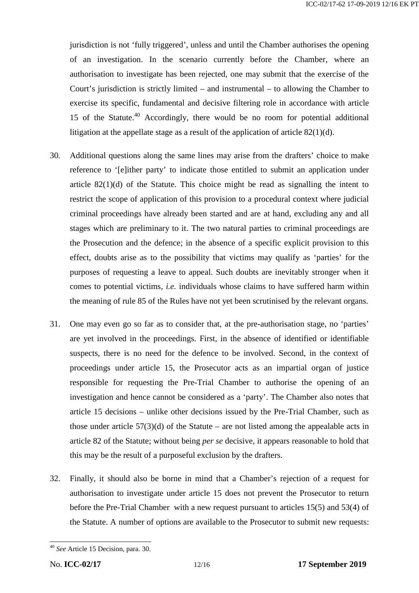jurisdiction is not 'fully triggered', unless and until the Chamber authorises the opening of an investigation. In the scenario currently before the Chamber, where an authorisation to investigate has been rejected, one may submit that the exercise of the Court's jurisdiction is strictly limited – and instrumental – to allowing the Chamber to exercise its specific, fundamental and decisive filtering role in accordance with article 15 of the Statute.<sup>40</sup> Accordingly, there would be no room for potential additional litigation at the appellate stage as a result of the application of article 82(1)(d).

- 30. Additional questions along the same lines may arise from the drafters' choice to make reference to '[e]ither party' to indicate those entitled to submit an application under article 82(1)(d) of the Statute. This choice might be read as signalling the intent to restrict the scope of application of this provision to a procedural context where judicial criminal proceedings have already been started and are at hand, excluding any and all stages which are preliminary to it. The two natural parties to criminal proceedings are the Prosecution and the defence; in the absence of a specific explicit provision to this effect, doubts arise as to the possibility that victims may qualify as 'parties' for the purposes of requesting a leave to appeal. Such doubts are inevitably stronger when it comes to potential victims, *i.e.* individuals whose claims to have suffered harm within the meaning of rule 85 of the Rules have not yet been scrutinised by the relevant organs.
- 31. One may even go so far as to consider that, at the pre-authorisation stage, no 'parties' are yet involved in the proceedings. First, in the absence of identified or identifiable suspects, there is no need for the defence to be involved. Second, in the context of proceedings under article 15, the Prosecutor acts as an impartial organ of justice responsible for requesting the Pre-Trial Chamber to authorise the opening of an investigation and hence cannot be considered as a 'party'. The Chamber also notes that article 15 decisions – unlike other decisions issued by the Pre-Trial Chamber, such as those under article  $57(3)(d)$  of the Statute – are not listed among the appealable acts in article 82 of the Statute; without being *per se* decisive, it appears reasonable to hold that this may be the result of a purposeful exclusion by the drafters.
- 32. Finally, it should also be borne in mind that a Chamber's rejection of a request for authorisation to investigate under article 15 does not prevent the Prosecutor to return before the Pre-Trial Chamber with a new request pursuant to articles 15(5) and 53(4) of the Statute. A number of options are available to the Prosecutor to submit new requests:

<sup>40</sup> *See* Article 15 Decision, para. 30.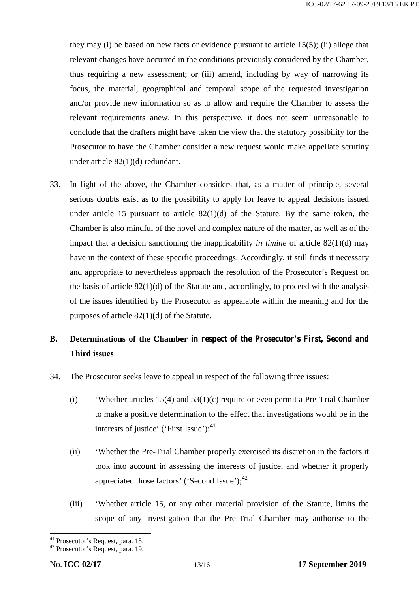they may (i) be based on new facts or evidence pursuant to article 15(5); (ii) allege that relevant changes have occurred in the conditions previously considered by the Chamber, thus requiring a new assessment; or (iii) amend, including by way of narrowing its focus, the material, geographical and temporal scope of the requested investigation and/or provide new information so as to allow and require the Chamber to assess the relevant requirements anew. In this perspective, it does not seem unreasonable to conclude that the drafters might have taken the view that the statutory possibility for the Prosecutor to have the Chamber consider a new request would make appellate scrutiny under article 82(1)(d) redundant.

33. In light of the above, the Chamber considers that, as a matter of principle, several serious doubts exist as to the possibility to apply for leave to appeal decisions issued under article 15 pursuant to article  $82(1)(d)$  of the Statute. By the same token, the Chamber is also mindful of the novel and complex nature of the matter, as well as of the impact that a decision sanctioning the inapplicability *in limine* of article 82(1)(d) may have in the context of these specific proceedings. Accordingly, it still finds it necessary and appropriate to nevertheless approach the resolution of the Prosecutor's Request on the basis of article  $82(1)(d)$  of the Statute and, accordingly, to proceed with the analysis of the issues identified by the Prosecutor as appealable within the meaning and for the purposes of article 82(1)(d) of the Statute.

# **B. Determinations of the Chamber in respect of the Prosecutor's First, Second and Third issues**

- 34. The Prosecutor seeks leave to appeal in respect of the following three issues:
	- (i) 'Whether articles 15(4) and 53(1)(c) require or even permit a Pre-Trial Chamber to make a positive determination to the effect that investigations would be in the interests of justice' ('First Issue'); $^{41}$
	- (ii) 'Whether the Pre-Trial Chamber properly exercised its discretion in the factors it took into account in assessing the interests of justice, and whether it properly appreciated those factors' ('Second Issue'); $^{42}$
	- (iii) 'Whether article 15, or any other material provision of the Statute, limits the scope of any investigation that the Pre-Trial Chamber may authorise to the

<sup>&</sup>lt;sup>41</sup> Prosecutor's Request, para. 15.<br><sup>42</sup> Prosecutor's Request, para. 19.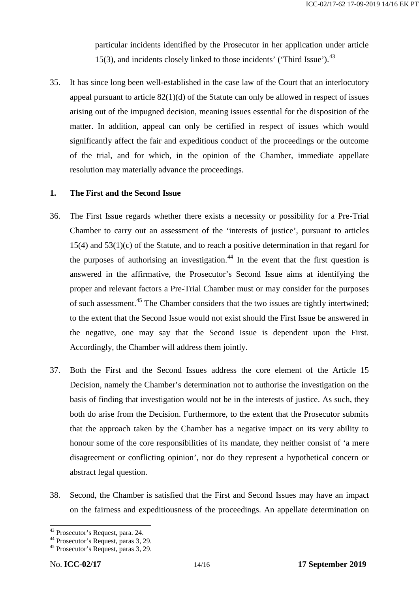particular incidents identified by the Prosecutor in her application under article 15(3), and incidents closely linked to those incidents' ('Third Issue').<sup>43</sup>

35. It has since long been well-established in the case law of the Court that an interlocutory appeal pursuant to article  $82(1)(d)$  of the Statute can only be allowed in respect of issues arising out of the impugned decision, meaning issues essential for the disposition of the matter. In addition, appeal can only be certified in respect of issues which would significantly affect the fair and expeditious conduct of the proceedings or the outcome of the trial, and for which, in the opinion of the Chamber, immediate appellate resolution may materially advance the proceedings.

## **1. The First and the Second Issue**

- 36. The First Issue regards whether there exists a necessity or possibility for a Pre-Trial Chamber to carry out an assessment of the 'interests of justice', pursuant to articles 15(4) and 53(1)(c) of the Statute, and to reach a positive determination in that regard for the purposes of authorising an investigation.<sup>44</sup> In the event that the first question is answered in the affirmative, the Prosecutor's Second Issue aims at identifying the proper and relevant factors a Pre-Trial Chamber must or may consider for the purposes of such assessment.<sup>45</sup> The Chamber considers that the two issues are tightly intertwined; to the extent that the Second Issue would not exist should the First Issue be answered in the negative, one may say that the Second Issue is dependent upon the First. Accordingly, the Chamber will address them jointly.
- 37. Both the First and the Second Issues address the core element of the Article 15 Decision, namely the Chamber's determination not to authorise the investigation on the basis of finding that investigation would not be in the interests of justice. As such, they both do arise from the Decision. Furthermore, to the extent that the Prosecutor submits that the approach taken by the Chamber has a negative impact on its very ability to honour some of the core responsibilities of its mandate, they neither consist of 'a mere disagreement or conflicting opinion', nor do they represent a hypothetical concern or abstract legal question.
- 38. Second, the Chamber is satisfied that the First and Second Issues may have an impact on the fairness and expeditiousness of the proceedings. An appellate determination on

<sup>43</sup> Prosecutor's Request, para. 24.<br>
<sup>44</sup> Prosecutor's Request, paras 3, 29.<br>
<sup>45</sup> Prosecutor's Request, paras 3, 29.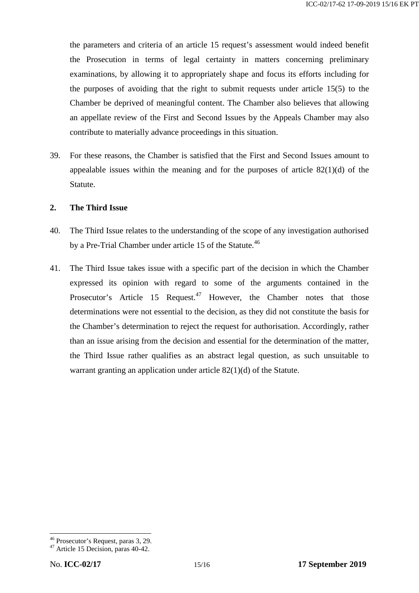the parameters and criteria of an article 15 request's assessment would indeed benefit the Prosecution in terms of legal certainty in matters concerning preliminary examinations, by allowing it to appropriately shape and focus its efforts including for the purposes of avoiding that the right to submit requests under article 15(5) to the Chamber be deprived of meaningful content. The Chamber also believes that allowing an appellate review of the First and Second Issues by the Appeals Chamber may also contribute to materially advance proceedings in this situation.

39. For these reasons, the Chamber is satisfied that the First and Second Issues amount to appealable issues within the meaning and for the purposes of article  $82(1)(d)$  of the Statute.

#### **2. The Third Issue**

- 40. The Third Issue relates to the understanding of the scope of any investigation authorised by a Pre-Trial Chamber under article 15 of the Statute.<sup>46</sup>
- 41. The Third Issue takes issue with a specific part of the decision in which the Chamber expressed its opinion with regard to some of the arguments contained in the Prosecutor's Article 15 Request.<sup>47</sup> However, the Chamber notes that those determinations were not essential to the decision, as they did not constitute the basis for the Chamber's determination to reject the request for authorisation. Accordingly, rather than an issue arising from the decision and essential for the determination of the matter, the Third Issue rather qualifies as an abstract legal question, as such unsuitable to warrant granting an application under article 82(1)(d) of the Statute.

 $46$  Prosecutor's Request, paras 3, 29.<br> $47$  Article 15 Decision, paras 40-42.